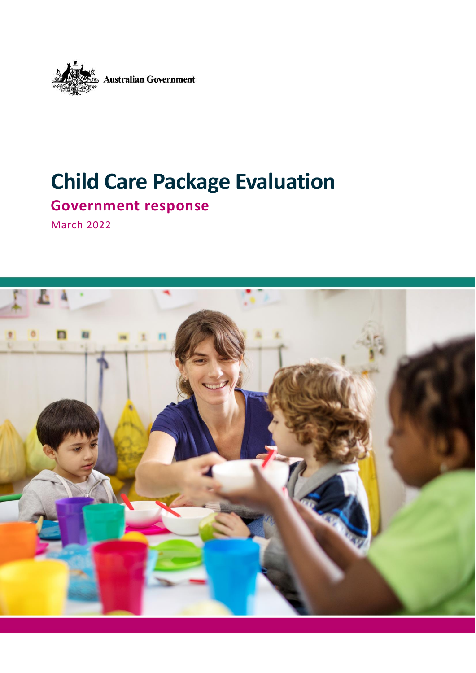

# **Child Care Package Evaluation**

**Government response**

March 2022

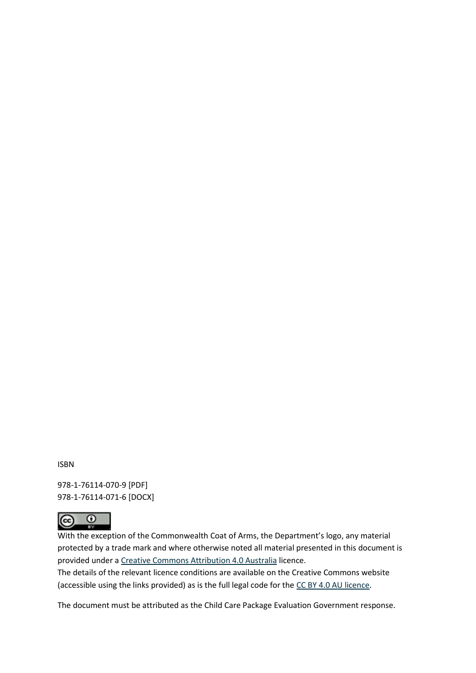ISBN

978-1-76114-070-9 [PDF] 978-1-76114-071-6 [DOCX]



With the exception of the Commonwealth Coat of Arms, the Department's logo, any material protected by a trade mark and where otherwise noted all material presented in this document is provided under a [Creative Commons Attribution 4.0 Australia](https://creativecommons.org/licenses/by/4.0/) licence.

The details of the relevant licence conditions are available on the Creative Commons website (accessible using the links provided) as is the full legal code for th[e CC BY 4.0 AU licence.](https://creativecommons.org/licenses/by/4.0/legalcode)

The document must be attributed as the Child Care Package Evaluation Government response.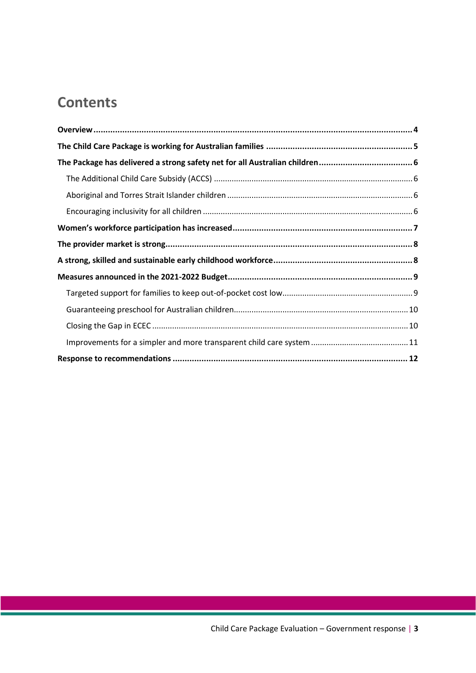### **Contents**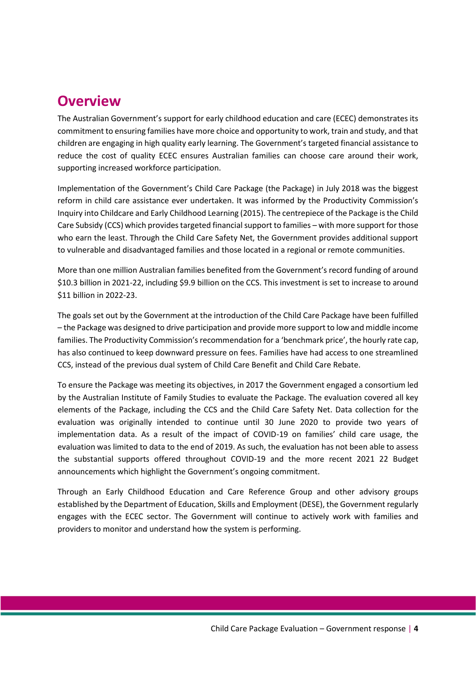### <span id="page-3-0"></span>**Overview**

The Australian Government's support for early childhood education and care (ECEC) demonstrates its commitment to ensuring families have more choice and opportunity to work, train and study, and that children are engaging in high quality early learning. The Government's targeted financial assistance to reduce the cost of quality ECEC ensures Australian families can choose care around their work, supporting increased workforce participation.

Implementation of the Government's Child Care Package (the Package) in July 2018 was the biggest reform in child care assistance ever undertaken. It was informed by the Productivity Commission's Inquiry into Childcare and Early Childhood Learning (2015). The centrepiece of the Package is the Child Care Subsidy (CCS) which provides targeted financial support to families – with more support for those who earn the least. Through the Child Care Safety Net, the Government provides additional support to vulnerable and disadvantaged families and those located in a regional or remote communities.

More than one million Australian families benefited from the Government's record funding of around \$10.3 billion in 2021-22, including \$9.9 billion on the CCS. This investment is set to increase to around \$11 billion in 2022-23.

The goals set out by the Government at the introduction of the Child Care Package have been fulfilled – the Package was designed to drive participation and provide more support to low and middle income families. The Productivity Commission's recommendation for a 'benchmark price', the hourly rate cap, has also continued to keep downward pressure on fees. Families have had access to one streamlined CCS, instead of the previous dual system of Child Care Benefit and Child Care Rebate.

To ensure the Package was meeting its objectives, in 2017 the Government engaged a consortium led by the Australian Institute of Family Studies to evaluate the Package. The evaluation covered all key elements of the Package, including the CCS and the Child Care Safety Net. Data collection for the evaluation was originally intended to continue until 30 June 2020 to provide two years of implementation data. As a result of the impact of COVID-19 on families' child care usage, the evaluation was limited to data to the end of 2019. As such, the evaluation has not been able to assess the substantial supports offered throughout COVID-19 and the more recent 2021 22 Budget announcements which highlight the Government's ongoing commitment.

Through an Early Childhood Education and Care Reference Group and other advisory groups established by the Department of Education, Skills and Employment (DESE), the Government regularly engages with the ECEC sector. The Government will continue to actively work with families and providers to monitor and understand how the system is performing.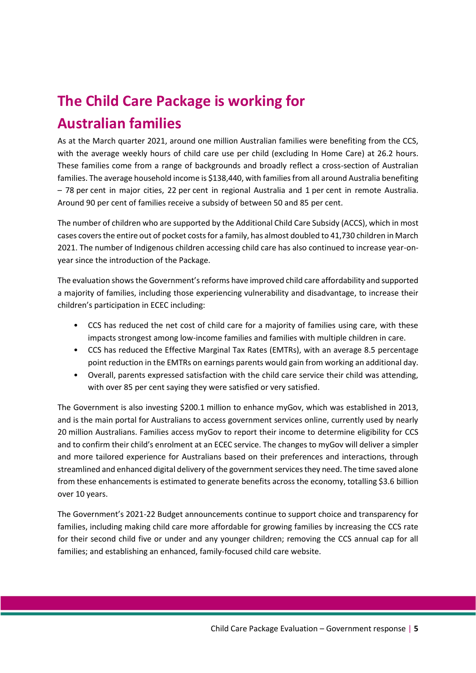# <span id="page-4-0"></span>**The Child Care Package is working for Australian families**

As at the March quarter 2021, around one million Australian families were benefiting from the CCS, with the average weekly hours of child care use per child (excluding In Home Care) at 26.2 hours. These families come from a range of backgrounds and broadly reflect a cross-section of Australian families. The average household income is \$138,440, with families from all around Australia benefiting – 78 per cent in major cities, 22 per cent in regional Australia and 1 per cent in remote Australia. Around 90 per cent of families receive a subsidy of between 50 and 85 per cent.

The number of children who are supported by the Additional Child Care Subsidy (ACCS), which in most cases covers the entire out of pocket costs for a family, has almost doubled to 41,730 children in March 2021. The number of Indigenous children accessing child care has also continued to increase year-onyear since the introduction of the Package.

The evaluation shows the Government's reforms have improved child care affordability and supported a majority of families, including those experiencing vulnerability and disadvantage, to increase their children's participation in ECEC including:

- CCS has reduced the net cost of child care for a majority of families using care, with these impacts strongest among low-income families and families with multiple children in care.
- CCS has reduced the Effective Marginal Tax Rates (EMTRs), with an average 8.5 percentage point reduction in the EMTRs on earnings parents would gain from working an additional day.
- Overall, parents expressed satisfaction with the child care service their child was attending, with over 85 per cent saying they were satisfied or very satisfied.

The Government is also investing \$200.1 million to enhance myGov, which was established in 2013, and is the main portal for Australians to access government services online, currently used by nearly 20 million Australians. Families access myGov to report their income to determine eligibility for CCS and to confirm their child's enrolment at an ECEC service. The changes to myGov will deliver a simpler and more tailored experience for Australians based on their preferences and interactions, through streamlined and enhanced digital delivery of the government services they need. The time saved alone from these enhancements is estimated to generate benefits across the economy, totalling \$3.6 billion over 10 years.

The Government's 2021-22 Budget announcements continue to support choice and transparency for families, including making child care more affordable for growing families by increasing the CCS rate for their second child five or under and any younger children; removing the CCS annual cap for all families; and establishing an enhanced, family-focused child care website.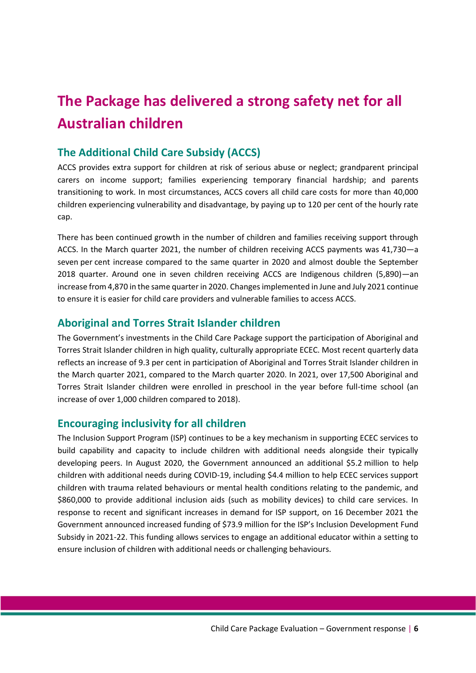## <span id="page-5-0"></span>**The Package has delivered a strong safety net for all Australian children**

#### <span id="page-5-1"></span>**The Additional Child Care Subsidy (ACCS)**

ACCS provides extra support for children at risk of serious abuse or neglect; grandparent principal carers on income support; families experiencing temporary financial hardship; and parents transitioning to work. In most circumstances, ACCS covers all child care costs for more than 40,000 children experiencing vulnerability and disadvantage, by paying up to 120 per cent of the hourly rate cap.

There has been continued growth in the number of children and families receiving support through ACCS. In the March quarter 2021, the number of children receiving ACCS payments was 41,730—a seven per cent increase compared to the same quarter in 2020 and almost double the September 2018 quarter. Around one in seven children receiving ACCS are Indigenous children (5,890)—an increase from 4,870 in the same quarter in 2020. Changes implemented in June and July 2021 continue to ensure it is easier for child care providers and vulnerable families to access ACCS.

### <span id="page-5-2"></span>**Aboriginal and Torres Strait Islander children**

The Government's investments in the Child Care Package support the participation of Aboriginal and Torres Strait Islander children in high quality, culturally appropriate ECEC. Most recent quarterly data reflects an increase of 9.3 per cent in participation of Aboriginal and Torres Strait Islander children in the March quarter 2021, compared to the March quarter 2020. In 2021, over 17,500 Aboriginal and Torres Strait Islander children were enrolled in preschool in the year before full-time school (an increase of over 1,000 children compared to 2018).

#### <span id="page-5-3"></span>**Encouraging inclusivity for all children**

The Inclusion Support Program (ISP) continues to be a key mechanism in supporting ECEC services to build capability and capacity to include children with additional needs alongside their typically developing peers. In August 2020, the Government announced an additional \$5.2 million to help children with additional needs during COVID-19, including \$4.4 million to help ECEC services support children with trauma related behaviours or mental health conditions relating to the pandemic, and \$860,000 to provide additional inclusion aids (such as mobility devices) to child care services. In response to recent and significant increases in demand for ISP support, on 16 December 2021 the Government announced increased funding of \$73.9 million for the ISP's Inclusion Development Fund Subsidy in 2021-22. This funding allows services to engage an additional educator within a setting to ensure inclusion of children with additional needs or challenging behaviours.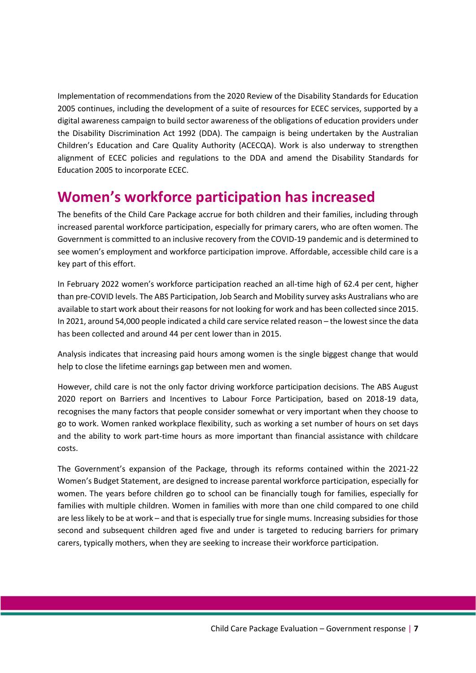Implementation of recommendations from the 2020 Review of the Disability Standards for Education 2005 continues, including the development of a suite of resources for ECEC services, supported by a digital awareness campaign to build sector awareness of the obligations of education providers under the Disability Discrimination Act 1992 (DDA). The campaign is being undertaken by the Australian Children's Education and Care Quality Authority (ACECQA). Work is also underway to strengthen alignment of ECEC policies and regulations to the DDA and amend the Disability Standards for Education 2005 to incorporate ECEC.

### <span id="page-6-0"></span>**Women's workforce participation has increased**

The benefits of the Child Care Package accrue for both children and their families, including through increased parental workforce participation, especially for primary carers, who are often women. The Government is committed to an inclusive recovery from the COVID-19 pandemic and is determined to see women's employment and workforce participation improve. Affordable, accessible child care is a key part of this effort.

In February 2022 women's workforce participation reached an all-time high of 62.4 per cent, higher than pre-COVID levels. The ABS Participation, Job Search and Mobility survey asks Australians who are available to start work about their reasons for not looking for work and has been collected since 2015. In 2021, around 54,000 people indicated a child care service related reason – the lowest since the data has been collected and around 44 per cent lower than in 2015.

Analysis indicates that increasing paid hours among women is the single biggest change that would help to close the lifetime earnings gap between men and women.

However, child care is not the only factor driving workforce participation decisions. The ABS August 2020 report on Barriers and Incentives to Labour Force Participation, based on 2018-19 data, recognises the many factors that people consider somewhat or very important when they choose to go to work. Women ranked workplace flexibility, such as working a set number of hours on set days and the ability to work part-time hours as more important than financial assistance with childcare costs.

The Government's expansion of the Package, through its reforms contained within the 2021-22 Women's Budget Statement, are designed to increase parental workforce participation, especially for women. The years before children go to school can be financially tough for families, especially for families with multiple children. Women in families with more than one child compared to one child are less likely to be at work – and that is especially true for single mums. Increasing subsidies for those second and subsequent children aged five and under is targeted to reducing barriers for primary carers, typically mothers, when they are seeking to increase their workforce participation.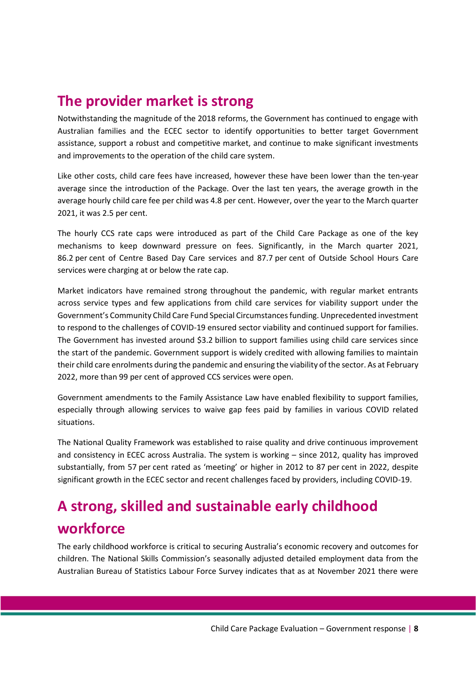### <span id="page-7-0"></span>**The provider market is strong**

Notwithstanding the magnitude of the 2018 reforms, the Government has continued to engage with Australian families and the ECEC sector to identify opportunities to better target Government assistance, support a robust and competitive market, and continue to make significant investments and improvements to the operation of the child care system.

Like other costs, child care fees have increased, however these have been lower than the ten-year average since the introduction of the Package. Over the last ten years, the average growth in the average hourly child care fee per child was 4.8 per cent. However, over the year to the March quarter 2021, it was 2.5 per cent.

The hourly CCS rate caps were introduced as part of the Child Care Package as one of the key mechanisms to keep downward pressure on fees. Significantly, in the March quarter 2021, 86.2 per cent of Centre Based Day Care services and 87.7 per cent of Outside School Hours Care services were charging at or below the rate cap.

Market indicators have remained strong throughout the pandemic, with regular market entrants across service types and few applications from child care services for viability support under the Government's Community Child Care Fund Special Circumstances funding. Unprecedented investment to respond to the challenges of COVID-19 ensured sector viability and continued support for families. The Government has invested around \$3.2 billion to support families using child care services since the start of the pandemic. Government support is widely credited with allowing families to maintain their child care enrolments during the pandemic and ensuring the viability of the sector. As at February 2022, more than 99 per cent of approved CCS services were open.

Government amendments to the Family Assistance Law have enabled flexibility to support families, especially through allowing services to waive gap fees paid by families in various COVID related situations.

The National Quality Framework was established to raise quality and drive continuous improvement and consistency in ECEC across Australia. The system is working – since 2012, quality has improved substantially, from 57 per cent rated as 'meeting' or higher in 2012 to 87 per cent in 2022, despite significant growth in the ECEC sector and recent challenges faced by providers, including COVID-19.

# <span id="page-7-1"></span>**A strong, skilled and sustainable early childhood workforce**

The early childhood workforce is critical to securing Australia's economic recovery and outcomes for children. The National Skills Commission's seasonally adjusted detailed employment data from the Australian Bureau of Statistics Labour Force Survey indicates that as at November 2021 there were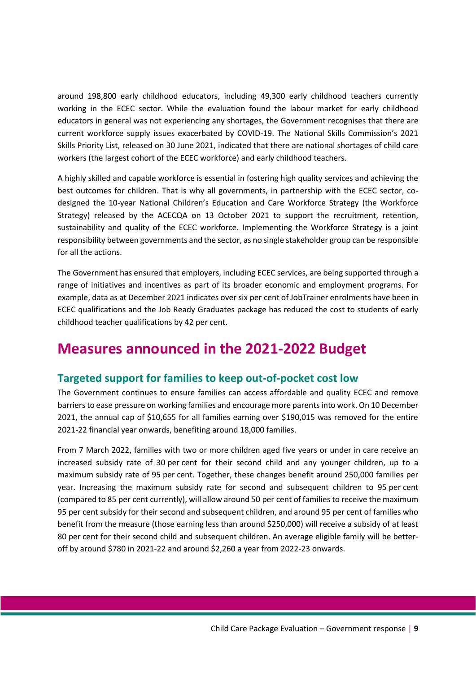around 198,800 early childhood educators, including 49,300 early childhood teachers currently working in the ECEC sector. While the evaluation found the labour market for early childhood educators in general was not experiencing any shortages, the Government recognises that there are current workforce supply issues exacerbated by COVID-19. The National Skills Commission's 2021 Skills Priority List, released on 30 June 2021, indicated that there are national shortages of child care workers (the largest cohort of the ECEC workforce) and early childhood teachers.

A highly skilled and capable workforce is essential in fostering high quality services and achieving the best outcomes for children. That is why all governments, in partnership with the ECEC sector, codesigned the 10-year National Children's Education and Care Workforce Strategy (the Workforce Strategy) released by the ACECQA on 13 October 2021 to support the recruitment, retention, sustainability and quality of the ECEC workforce. Implementing the Workforce Strategy is a joint responsibility between governments and the sector, as no single stakeholder group can be responsible for all the actions.

The Government has ensured that employers, including ECEC services, are being supported through a range of initiatives and incentives as part of its broader economic and employment programs. For example, data as at December 2021 indicates over six per cent of JobTrainer enrolments have been in ECEC qualifications and the Job Ready Graduates package has reduced the cost to students of early childhood teacher qualifications by 42 per cent.

### <span id="page-8-0"></span>**Measures announced in the 2021-2022 Budget**

### <span id="page-8-1"></span>**Targeted support for families to keep out-of-pocket cost low**

The Government continues to ensure families can access affordable and quality ECEC and remove barriers to ease pressure on working families and encourage more parents into work. On 10 December 2021, the annual cap of \$10,655 for all families earning over \$190,015 was removed for the entire 2021-22 financial year onwards, benefiting around 18,000 families.

From 7 March 2022, families with two or more children aged five years or under in care receive an increased subsidy rate of 30 per cent for their second child and any younger children, up to a maximum subsidy rate of 95 per cent. Together, these changes benefit around 250,000 families per year. Increasing the maximum subsidy rate for second and subsequent children to 95 per cent (compared to 85 per cent currently), will allow around 50 per cent of families to receive the maximum 95 per cent subsidy for their second and subsequent children, and around 95 per cent of families who benefit from the measure (those earning less than around \$250,000) will receive a subsidy of at least 80 per cent for their second child and subsequent children. An average eligible family will be betteroff by around \$780 in 2021-22 and around \$2,260 a year from 2022-23 onwards.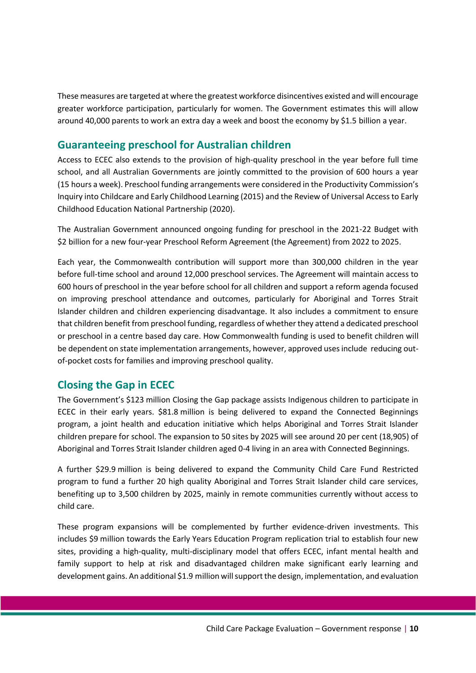These measures are targeted at where the greatest workforce disincentives existed and will encourage greater workforce participation, particularly for women. The Government estimates this will allow around 40,000 parents to work an extra day a week and boost the economy by \$1.5 billion a year.

#### <span id="page-9-0"></span>**Guaranteeing preschool for Australian children**

Access to ECEC also extends to the provision of high-quality preschool in the year before full time school, and all Australian Governments are jointly committed to the provision of 600 hours a year (15 hours a week). Preschool funding arrangements were considered in the Productivity Commission's Inquiry into Childcare and Early Childhood Learning (2015) and the Review of Universal Access to Early Childhood Education National Partnership (2020).

The Australian Government announced ongoing funding for preschool in the 2021-22 Budget with \$2 billion for a new four-year Preschool Reform Agreement (the Agreement) from 2022 to 2025.

Each year, the Commonwealth contribution will support more than 300,000 children in the year before full-time school and around 12,000 preschool services. The Agreement will maintain access to 600 hours of preschool in the year before school for all children and support a reform agenda focused on improving preschool attendance and outcomes, particularly for Aboriginal and Torres Strait Islander children and children experiencing disadvantage. It also includes a commitment to ensure that children benefit from preschool funding, regardless of whether they attend a dedicated preschool or preschool in a centre based day care. How Commonwealth funding is used to benefit children will be dependent on state implementation arrangements, however, approved uses include reducing outof-pocket costs for families and improving preschool quality.

#### <span id="page-9-1"></span>**Closing the Gap in ECEC**

The Government's \$123 million Closing the Gap package assists Indigenous children to participate in ECEC in their early years. \$81.8 million is being delivered to expand the Connected Beginnings program, a joint health and education initiative which helps Aboriginal and Torres Strait Islander children prepare for school. The expansion to 50 sites by 2025 will see around 20 per cent (18,905) of Aboriginal and Torres Strait Islander children aged 0-4 living in an area with Connected Beginnings.

A further \$29.9 million is being delivered to expand the Community Child Care Fund Restricted program to fund a further 20 high quality Aboriginal and Torres Strait Islander child care services, benefiting up to 3,500 children by 2025, mainly in remote communities currently without access to child care.

These program expansions will be complemented by further evidence-driven investments. This includes \$9 million towards the Early Years Education Program replication trial to establish four new sites, providing a high-quality, multi-disciplinary model that offers ECEC, infant mental health and family support to help at risk and disadvantaged children make significant early learning and development gains. An additional \$1.9 million will support the design, implementation, and evaluation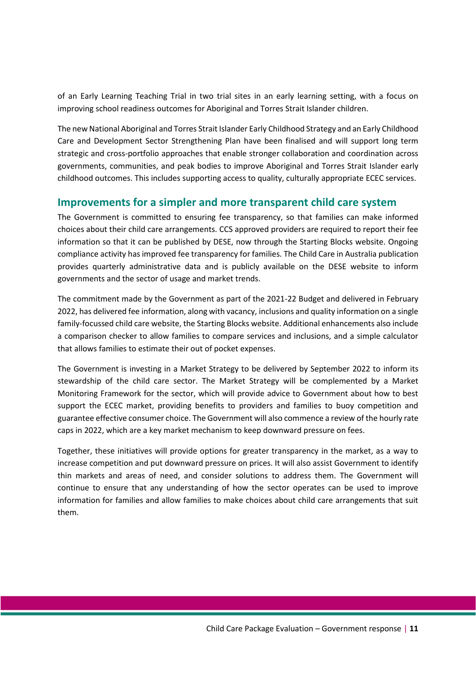of an Early Learning Teaching Trial in two trial sites in an early learning setting, with a focus on improving school readiness outcomes for Aboriginal and Torres Strait Islander children.

The new National Aboriginal and Torres Strait Islander Early Childhood Strategy and an Early Childhood Care and Development Sector Strengthening Plan have been finalised and will support long term strategic and cross-portfolio approaches that enable stronger collaboration and coordination across governments, communities, and peak bodies to improve Aboriginal and Torres Strait Islander early childhood outcomes. This includes supporting access to quality, culturally appropriate ECEC services.

#### <span id="page-10-0"></span>**Improvements for a simpler and more transparent child care system**

The Government is committed to ensuring fee transparency, so that families can make informed choices about their child care arrangements. CCS approved providers are required to report their fee information so that it can be published by DESE, now through the Starting Blocks website. Ongoing compliance activity has improved fee transparency for families. The Child Care in Australia publication provides quarterly administrative data and is publicly available on the DESE website to inform governments and the sector of usage and market trends.

The commitment made by the Government as part of the 2021-22 Budget and delivered in February 2022, has delivered fee information, along with vacancy, inclusions and quality information on a single family-focussed child care website, the Starting Blocks website. Additional enhancements also include a comparison checker to allow families to compare services and inclusions, and a simple calculator that allows families to estimate their out of pocket expenses.

The Government is investing in a Market Strategy to be delivered by September 2022 to inform its stewardship of the child care sector. The Market Strategy will be complemented by a Market Monitoring Framework for the sector, which will provide advice to Government about how to best support the ECEC market, providing benefits to providers and families to buoy competition and guarantee effective consumer choice. The Government will also commence a review of the hourly rate caps in 2022, which are a key market mechanism to keep downward pressure on fees.

Together, these initiatives will provide options for greater transparency in the market, as a way to increase competition and put downward pressure on prices. It will also assist Government to identify thin markets and areas of need, and consider solutions to address them. The Government will continue to ensure that any understanding of how the sector operates can be used to improve information for families and allow families to make choices about child care arrangements that suit them.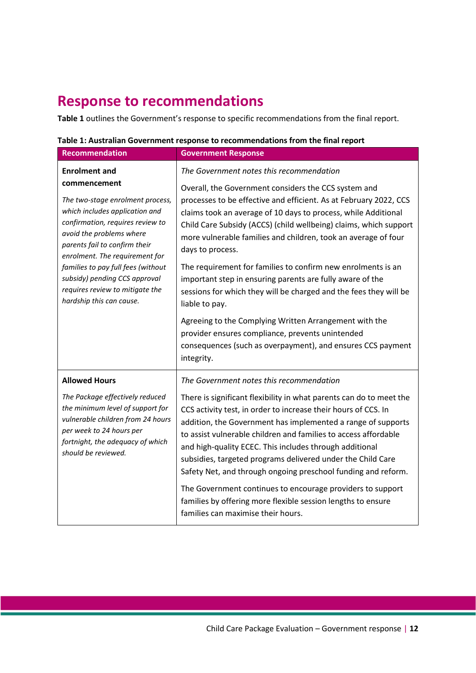### <span id="page-11-0"></span>**Response to recommendations**

**Table 1** outlines the Government's response to specific recommendations from the final report.

| Table 1: Australian Government response to recommendations from the final report |  |
|----------------------------------------------------------------------------------|--|
|                                                                                  |  |

| <b>Recommendation</b>                                                                                                                                                                                                                                                                                                                                                               | <b>Government Response</b>                                                                                                                                                                                                                                                                                                                                                                                                                                                                                                                                                                                                                                                                                                                                                                          |
|-------------------------------------------------------------------------------------------------------------------------------------------------------------------------------------------------------------------------------------------------------------------------------------------------------------------------------------------------------------------------------------|-----------------------------------------------------------------------------------------------------------------------------------------------------------------------------------------------------------------------------------------------------------------------------------------------------------------------------------------------------------------------------------------------------------------------------------------------------------------------------------------------------------------------------------------------------------------------------------------------------------------------------------------------------------------------------------------------------------------------------------------------------------------------------------------------------|
| <b>Enrolment and</b><br>commencement<br>The two-stage enrolment process,<br>which includes application and<br>confirmation, requires review to<br>avoid the problems where<br>parents fail to confirm their<br>enrolment. The requirement for<br>families to pay full fees (without<br>subsidy) pending CCS approval<br>requires review to mitigate the<br>hardship this can cause. | The Government notes this recommendation<br>Overall, the Government considers the CCS system and<br>processes to be effective and efficient. As at February 2022, CCS<br>claims took an average of 10 days to process, while Additional<br>Child Care Subsidy (ACCS) (child wellbeing) claims, which support<br>more vulnerable families and children, took an average of four<br>days to process.<br>The requirement for families to confirm new enrolments is an<br>important step in ensuring parents are fully aware of the<br>sessions for which they will be charged and the fees they will be<br>liable to pay.<br>Agreeing to the Complying Written Arrangement with the<br>provider ensures compliance, prevents unintended<br>consequences (such as overpayment), and ensures CCS payment |
| <b>Allowed Hours</b><br>The Package effectively reduced<br>the minimum level of support for<br>vulnerable children from 24 hours<br>per week to 24 hours per<br>fortnight, the adequacy of which<br>should be reviewed.                                                                                                                                                             | integrity.<br>The Government notes this recommendation<br>There is significant flexibility in what parents can do to meet the<br>CCS activity test, in order to increase their hours of CCS. In<br>addition, the Government has implemented a range of supports<br>to assist vulnerable children and families to access affordable<br>and high-quality ECEC. This includes through additional<br>subsidies, targeted programs delivered under the Child Care<br>Safety Net, and through ongoing preschool funding and reform.<br>The Government continues to encourage providers to support<br>families by offering more flexible session lengths to ensure<br>families can maximise their hours.                                                                                                   |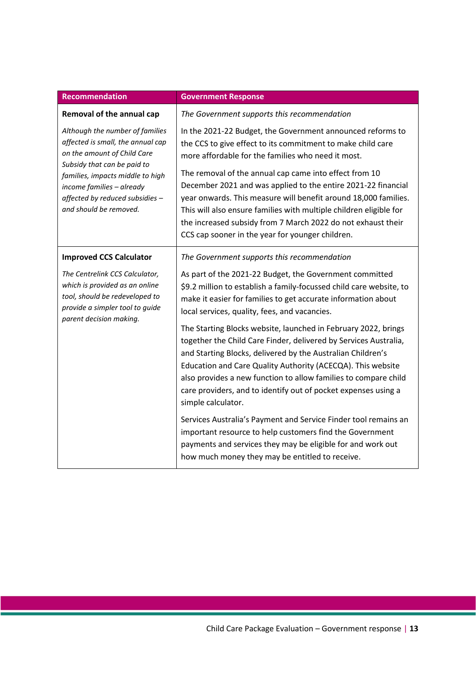| <b>Recommendation</b>                                                                                                                                                                                                                                            | <b>Government Response</b>                                                                                                                                                                                                                                                                                                                                                                                                  |
|------------------------------------------------------------------------------------------------------------------------------------------------------------------------------------------------------------------------------------------------------------------|-----------------------------------------------------------------------------------------------------------------------------------------------------------------------------------------------------------------------------------------------------------------------------------------------------------------------------------------------------------------------------------------------------------------------------|
| Removal of the annual cap                                                                                                                                                                                                                                        | The Government supports this recommendation                                                                                                                                                                                                                                                                                                                                                                                 |
| Although the number of families<br>affected is small, the annual cap<br>on the amount of Child Care<br>Subsidy that can be paid to<br>families, impacts middle to high<br>income families - already<br>affected by reduced subsidies -<br>and should be removed. | In the 2021-22 Budget, the Government announced reforms to<br>the CCS to give effect to its commitment to make child care<br>more affordable for the families who need it most.                                                                                                                                                                                                                                             |
|                                                                                                                                                                                                                                                                  | The removal of the annual cap came into effect from 10<br>December 2021 and was applied to the entire 2021-22 financial<br>year onwards. This measure will benefit around 18,000 families.<br>This will also ensure families with multiple children eligible for<br>the increased subsidy from 7 March 2022 do not exhaust their<br>CCS cap sooner in the year for younger children.                                        |
| <b>Improved CCS Calculator</b>                                                                                                                                                                                                                                   | The Government supports this recommendation                                                                                                                                                                                                                                                                                                                                                                                 |
| The Centrelink CCS Calculator,<br>which is provided as an online<br>tool, should be redeveloped to<br>provide a simpler tool to guide<br>parent decision making.                                                                                                 | As part of the 2021-22 Budget, the Government committed<br>\$9.2 million to establish a family-focussed child care website, to<br>make it easier for families to get accurate information about<br>local services, quality, fees, and vacancies.                                                                                                                                                                            |
|                                                                                                                                                                                                                                                                  | The Starting Blocks website, launched in February 2022, brings<br>together the Child Care Finder, delivered by Services Australia,<br>and Starting Blocks, delivered by the Australian Children's<br>Education and Care Quality Authority (ACECQA). This website<br>also provides a new function to allow families to compare child<br>care providers, and to identify out of pocket expenses using a<br>simple calculator. |
|                                                                                                                                                                                                                                                                  | Services Australia's Payment and Service Finder tool remains an<br>important resource to help customers find the Government<br>payments and services they may be eligible for and work out<br>how much money they may be entitled to receive.                                                                                                                                                                               |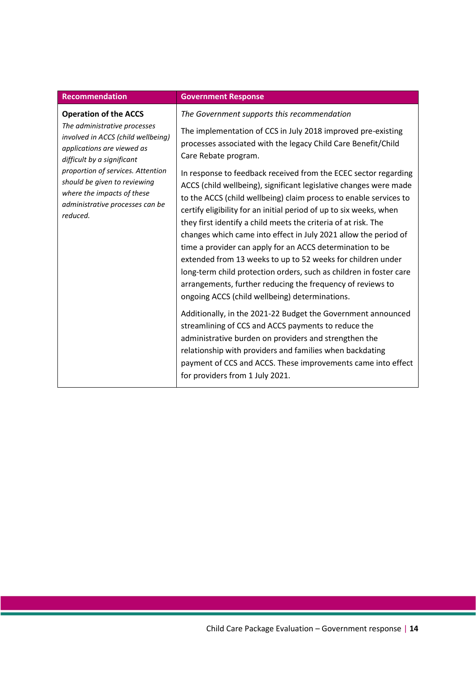| <b>Recommendation</b>                                                                                                                                                                                                                                                                                            | <b>Government Response</b>                                                                                                                                                                                                                                                                                                                                                                                                                                                                                                |
|------------------------------------------------------------------------------------------------------------------------------------------------------------------------------------------------------------------------------------------------------------------------------------------------------------------|---------------------------------------------------------------------------------------------------------------------------------------------------------------------------------------------------------------------------------------------------------------------------------------------------------------------------------------------------------------------------------------------------------------------------------------------------------------------------------------------------------------------------|
| <b>Operation of the ACCS</b><br>The administrative processes<br>involved in ACCS (child wellbeing)<br>applications are viewed as<br>difficult by a significant<br>proportion of services. Attention<br>should be given to reviewing<br>where the impacts of these<br>administrative processes can be<br>reduced. | The Government supports this recommendation<br>The implementation of CCS in July 2018 improved pre-existing<br>processes associated with the legacy Child Care Benefit/Child<br>Care Rebate program.<br>In response to feedback received from the ECEC sector regarding<br>ACCS (child wellbeing), significant legislative changes were made<br>to the ACCS (child wellbeing) claim process to enable services to                                                                                                         |
|                                                                                                                                                                                                                                                                                                                  | certify eligibility for an initial period of up to six weeks, when<br>they first identify a child meets the criteria of at risk. The<br>changes which came into effect in July 2021 allow the period of<br>time a provider can apply for an ACCS determination to be<br>extended from 13 weeks to up to 52 weeks for children under<br>long-term child protection orders, such as children in foster care<br>arrangements, further reducing the frequency of reviews to<br>ongoing ACCS (child wellbeing) determinations. |
|                                                                                                                                                                                                                                                                                                                  | Additionally, in the 2021-22 Budget the Government announced<br>streamlining of CCS and ACCS payments to reduce the<br>administrative burden on providers and strengthen the<br>relationship with providers and families when backdating<br>payment of CCS and ACCS. These improvements came into effect<br>for providers from 1 July 2021.                                                                                                                                                                               |

#### Child Care Package Evaluation – Government response | **14**